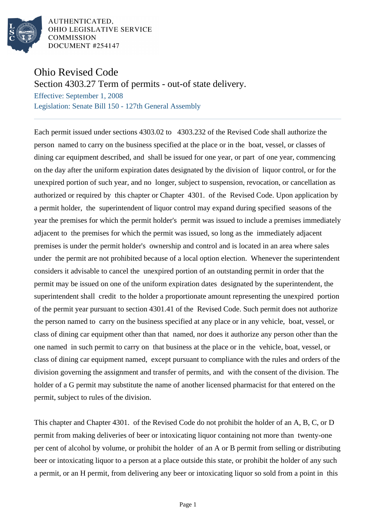

AUTHENTICATED. OHIO LEGISLATIVE SERVICE **COMMISSION** DOCUMENT #254147

## Ohio Revised Code

Section 4303.27 Term of permits - out-of state delivery.

Effective: September 1, 2008 Legislation: Senate Bill 150 - 127th General Assembly

Each permit issued under sections 4303.02 to 4303.232 of the Revised Code shall authorize the person named to carry on the business specified at the place or in the boat, vessel, or classes of dining car equipment described, and shall be issued for one year, or part of one year, commencing on the day after the uniform expiration dates designated by the division of liquor control, or for the unexpired portion of such year, and no longer, subject to suspension, revocation, or cancellation as authorized or required by this chapter or Chapter 4301. of the Revised Code. Upon application by a permit holder, the superintendent of liquor control may expand during specified seasons of the year the premises for which the permit holder's permit was issued to include a premises immediately adjacent to the premises for which the permit was issued, so long as the immediately adjacent premises is under the permit holder's ownership and control and is located in an area where sales under the permit are not prohibited because of a local option election. Whenever the superintendent considers it advisable to cancel the unexpired portion of an outstanding permit in order that the permit may be issued on one of the uniform expiration dates designated by the superintendent, the superintendent shall credit to the holder a proportionate amount representing the unexpired portion of the permit year pursuant to section 4301.41 of the Revised Code. Such permit does not authorize the person named to carry on the business specified at any place or in any vehicle, boat, vessel, or class of dining car equipment other than that named, nor does it authorize any person other than the one named in such permit to carry on that business at the place or in the vehicle, boat, vessel, or class of dining car equipment named, except pursuant to compliance with the rules and orders of the division governing the assignment and transfer of permits, and with the consent of the division. The holder of a G permit may substitute the name of another licensed pharmacist for that entered on the permit, subject to rules of the division.

This chapter and Chapter 4301. of the Revised Code do not prohibit the holder of an A, B, C, or D permit from making deliveries of beer or intoxicating liquor containing not more than twenty-one per cent of alcohol by volume, or prohibit the holder of an A or B permit from selling or distributing beer or intoxicating liquor to a person at a place outside this state, or prohibit the holder of any such a permit, or an H permit, from delivering any beer or intoxicating liquor so sold from a point in this